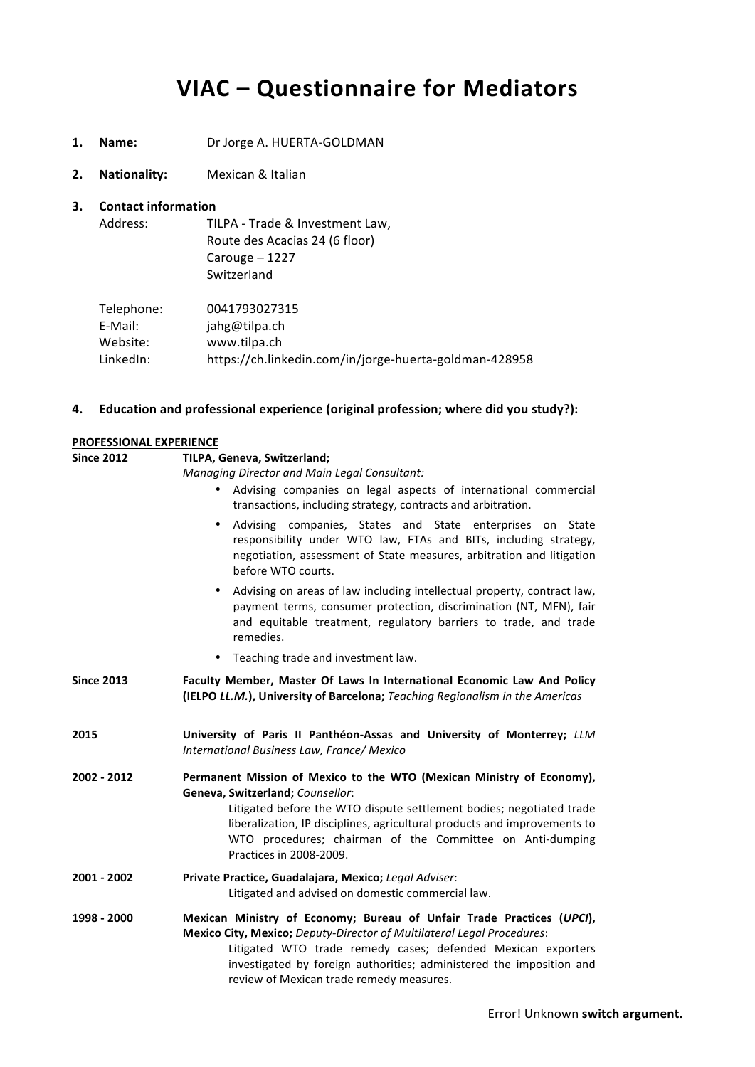# **VIAC – Questionnaire for Mediators**

- 1. **Name:** Dr Jorge A. HUERTA-GOLDMAN
- **2. Nationality:** Mexican & Italian

#### **3.** Contact information

| Address:   | TILPA - Trade & Investment Law, |
|------------|---------------------------------|
|            | Route des Acacias 24 (6 floor)  |
|            | Carouge $-1227$                 |
|            | Switzerland                     |
|            |                                 |
| Telephone: | 0041793027315                   |

|           | <u> 881 - 8982 - 818</u>                               |
|-----------|--------------------------------------------------------|
| E-Mail:   | jahg@tilpa.ch                                          |
| Website:  | www.tilpa.ch                                           |
| LinkedIn: | https://ch.linkedin.com/in/jorge-huerta-goldman-428958 |

#### **4. Education** and professional experience (original profession; where did you study?):

#### **PROFESSIONAL EXPERIENCE**

#### **Since 2012 TILPA, Geneva, Switzerland;**

*Managing Director and Main Legal Consultant:*

- Advising companies on legal aspects of international commercial transactions, including strategy, contracts and arbitration.
- Advising companies, States and State enterprises on State responsibility under WTO law, FTAs and BITs, including strategy, negotiation, assessment of State measures, arbitration and litigation before WTO courts.
- Advising on areas of law including intellectual property, contract law, payment terms, consumer protection, discrimination (NT, MFN), fair and equitable treatment, regulatory barriers to trade, and trade remedies.
- Teaching trade and investment law.
- Since 2013 **Faculty Member, Master Of Laws In International Economic Law And Policy (IELPO** *LL.M.***), University of Barcelona;** Teaching Regionalism in the Americas
- **2015 University of Paris II Panthéon-Assas and University of Monterrey;** *LLM International Business Law, France/ Mexico*
- **2002 2012** Permanent Mission of Mexico to the WTO (Mexican Ministry of Economy), **Geneva, Switzerland;** *Counsellor*: Litigated before the WTO dispute settlement bodies; negotiated trade liberalization, IP disciplines, agricultural products and improvements to WTO procedures; chairman of the Committee on Anti-dumping Practices in 2008-2009.
- **2001 - 2002 Private Practice, Guadalajara, Mexico;** *Legal Adviser*: Litigated and advised on domestic commercial law.
- **1998 2000 Mexican Ministry of Economy; Bureau of Unfair Trade Practices (***UPCI***), Mexico City, Mexico;** Deputy-Director of Multilateral Legal Procedures: Litigated WTO trade remedy cases; defended Mexican exporters investigated by foreign authorities; administered the imposition and review of Mexican trade remedy measures.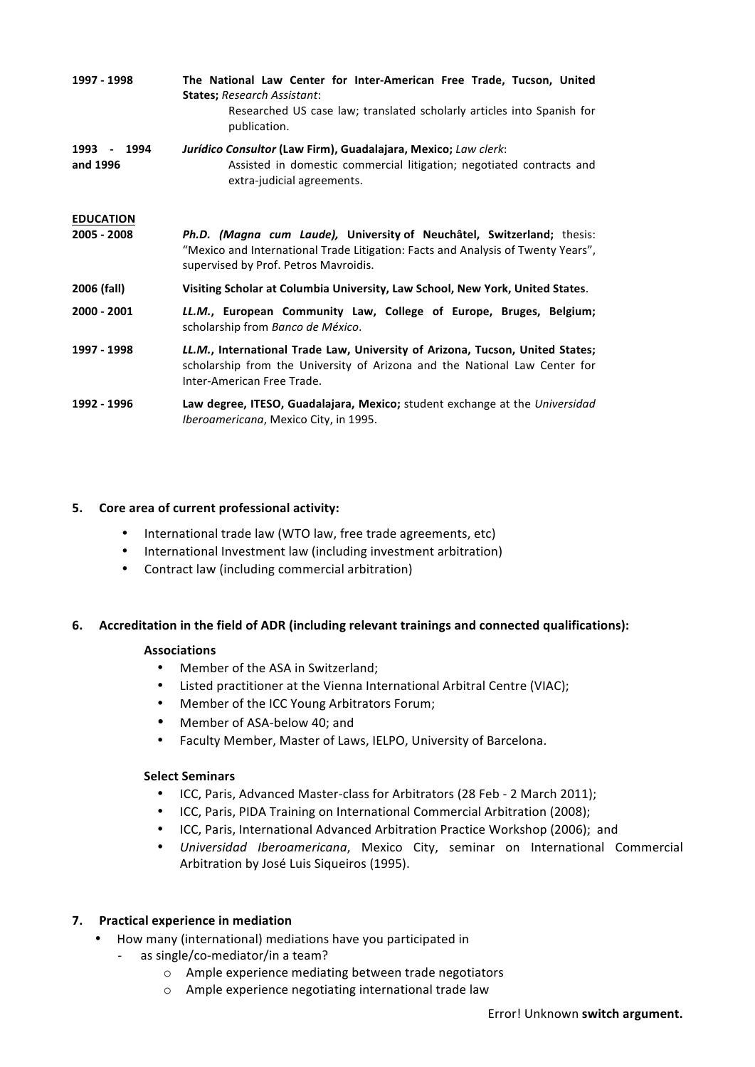| 1997 - 1998                     | The National Law Center for Inter-American Free Trade, Tucson, United<br><b>States; Research Assistant:</b><br>Researched US case law; translated scholarly articles into Spanish for<br>publication. |
|---------------------------------|-------------------------------------------------------------------------------------------------------------------------------------------------------------------------------------------------------|
| 1993<br>- 1994<br>and 1996      | Jurídico Consultor (Law Firm), Guadalajara, Mexico; Law clerk:<br>Assisted in domestic commercial litigation; negotiated contracts and<br>extra-judicial agreements.                                  |
| <b>EDUCATION</b><br>2005 - 2008 | Ph.D. (Magna cum Laude), University of Neuchâtel, Switzerland; thesis:<br>"Mexico and International Trade Litigation: Facts and Analysis of Twenty Years",<br>supervised by Prof. Petros Mayroidis.   |
| 2006 (fall)                     | Visiting Scholar at Columbia University, Law School, New York, United States.                                                                                                                         |
| 2000 - 2001                     | LL.M., European Community Law, College of Europe, Bruges, Belgium;<br>scholarship from Banco de México.                                                                                               |
| 1997 - 1998                     | LL.M., International Trade Law, University of Arizona, Tucson, United States;<br>scholarship from the University of Arizona and the National Law Center for<br>Inter-American Free Trade.             |
| 1992 - 1996                     | Law degree, ITESO, Guadalajara, Mexico; student exchange at the Universidad<br><i>Iberoamericana, Mexico City, in 1995.</i>                                                                           |

#### **5.** Core area of current professional activity:

- International trade law (WTO law, free trade agreements, etc)
- International Investment law (including investment arbitration)
- Contract law (including commercial arbitration)

#### **6.** Accreditation in the field of ADR (including relevant trainings and connected qualifications):

#### **Associations**

- Member of the ASA in Switzerland;
- Listed practitioner at the Vienna International Arbitral Centre (VIAC);
- Member of the ICC Young Arbitrators Forum:
- Member of ASA-below 40: and
- Faculty Member, Master of Laws, IELPO, University of Barcelona.

#### **Select Seminars**

- ICC, Paris, Advanced Master-class for Arbitrators (28 Feb 2 March 2011);
- ICC, Paris, PIDA Training on International Commercial Arbitration (2008);
- ICC, Paris, International Advanced Arbitration Practice Workshop (2006); and
- *Universidad Iberoamericana*, Mexico City, seminar on International Commercial Arbitration by José Luis Siqueiros (1995).

#### **7. Practical experience in mediation**

- How many (international) mediations have you participated in
	- as single/co-mediator/in a team?
		- $\circ$  Ample experience mediating between trade negotiators
		- o Ample experience negotiating international trade law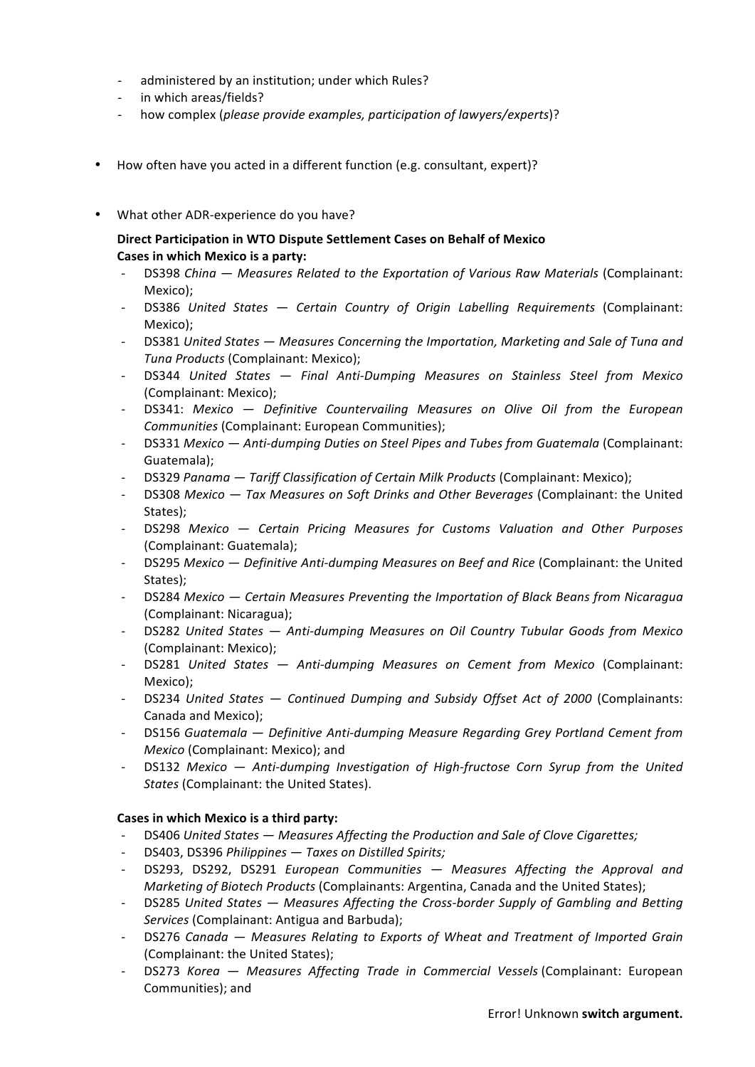- administered by an institution; under which Rules?
- in which areas/fields?
- how complex (*please provide examples, participation of lawyers/experts*)?
- How often have you acted in a different function (e.g. consultant, expert)?
- What other ADR-experience do you have?

#### **Direct Participation in WTO Dispute Settlement Cases on Behalf of Mexico Cases in which Mexico is a party:**

- DS398 *China Measures Related to the Exportation of Various Raw Materials* (Complainant: Mexico);
- DS386 *United States — Certain Country of Origin Labelling Requirements*  (Complainant: Mexico);
- DS381 United States Measures Concerning the Importation, Marketing and Sale of Tuna and *Tuna Products* (Complainant: Mexico);
- DS344 *United States — Final Anti-Dumping Measures on Stainless Steel from Mexico* (Complainant: Mexico);
- DS341: Mexico Definitive Countervailing Measures on Olive Oil from the European *Communities* (Complainant: European Communities);
- DS331 *Mexico Anti-dumping Duties on Steel Pipes and Tubes from Guatemala* (Complainant: Guatemala);
- DS329 *Panama Tariff Classification of Certain Milk Products* (Complainant: Mexico);
- DS308 Mexico Tax Measures on Soft Drinks and Other Beverages (Complainant: the United States);
- DS298 *Mexico — Certain Pricing Measures for Customs Valuation and Other Purposes* (Complainant: Guatemala);
- DS295 Mexico Definitive Anti-dumping Measures on Beef and Rice (Complainant: the United States);
- DS284 Mexico Certain Measures Preventing the Importation of Black Beans from Nicaragua (Complainant: Nicaragua);
- DS282 *United States — Anti-dumping Measures on Oil Country Tubular Goods from Mexico* (Complainant: Mexico);
- DS281 United States Anti-dumping Measures on Cement from Mexico (Complainant: Mexico);
- DS234 United States  $-$  Continued Dumping and Subsidy Offset Act of 2000 (Complainants: Canada and Mexico);
- DS156 Guatemala Definitive Anti-dumping Measure Regarding Grey Portland Cement from *Mexico* (Complainant: Mexico); and
- DS132 Mexico  $-$  Anti-dumping Investigation of High-fructose Corn Syrup from the United **States** (Complainant: the United States).

#### **Cases in which Mexico is a third party:**

- DS406 United States Measures Affecting the Production and Sale of Clove Cigarettes;
- DS403, DS396 Philippines Taxes on Distilled Spirits;
- DS293, DS292, DS291 *European Communities*  $-$  *Measures Affecting the Approval and Marketing of Biotech Products* (Complainants: Argentina, Canada and the United States);
- DS285 United States Measures Affecting the Cross-border Supply of Gambling and Betting Services (Complainant: Antigua and Barbuda);
- DS276 Canada Measures Relating to Exports of Wheat and Treatment of Imported Grain (Complainant: the United States);
- DS273 *Korea Measures Affecting Trade in Commercial Vessels* (Complainant: European Communities); and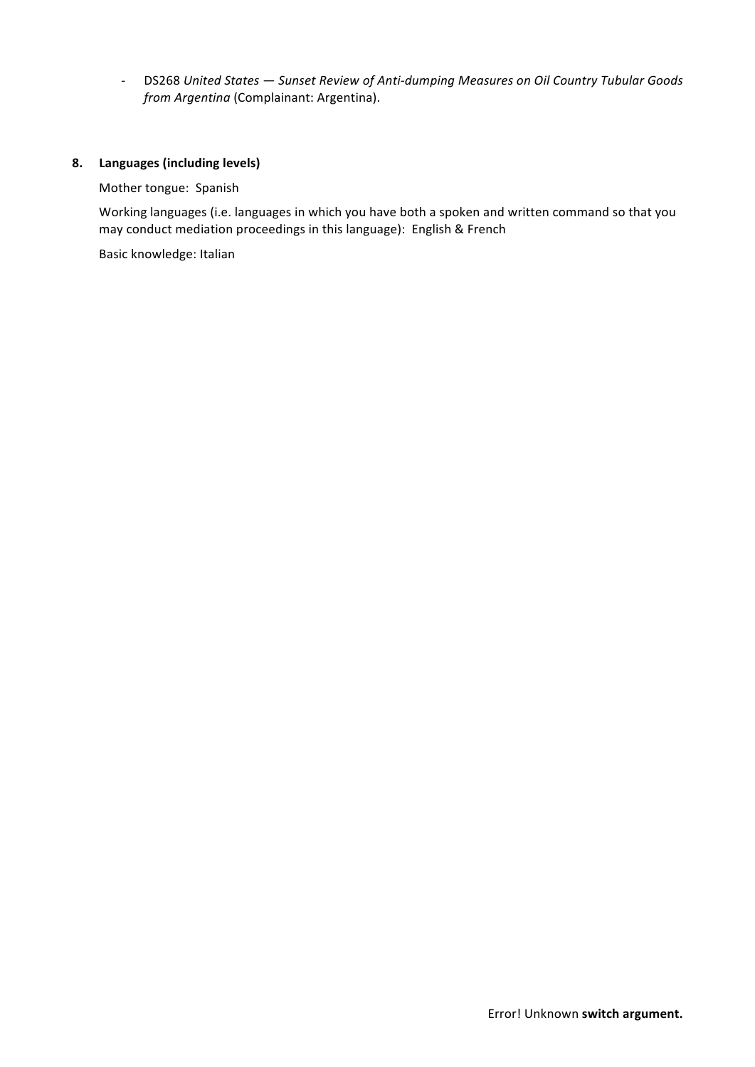- DS268 United States - Sunset Review of Anti-dumping Measures on Oil Country Tubular Goods from Argentina (Complainant: Argentina).

#### **8. Languages (including levels)**

#### Mother tongue: Spanish

Working languages (i.e. languages in which you have both a spoken and written command so that you may conduct mediation proceedings in this language): English & French

Basic knowledge: Italian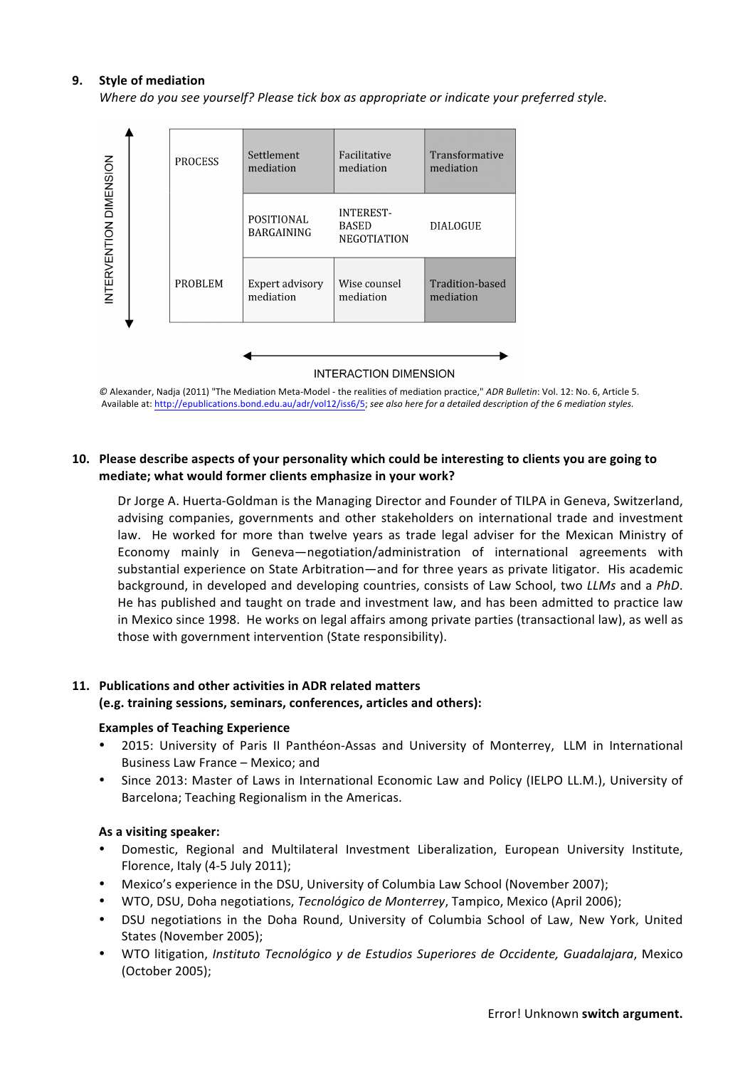#### **9.** Style of mediation

*Where do you see yourself? Please tick box as appropriate or indicate your preferred style.* 



**INTERACTION DIMENSION** 

 $\heartsuit$  Alexander, Nadja (2011) "The Mediation Meta-Model - the realities of mediation practice," *ADR Bulletin*: Vol. 12: No. 6, Article 5. Available at: http://epublications.bond.edu.au/adr/vol12/iss6/5; see also here for a detailed description of the 6 mediation styles.

#### **10.** Please describe aspects of your personality which could be interesting to clients you are going to mediate; what would former clients emphasize in your work?

Dr Jorge A. Huerta-Goldman is the Managing Director and Founder of TILPA in Geneva, Switzerland, advising companies, governments and other stakeholders on international trade and investment law. He worked for more than twelve years as trade legal adviser for the Mexican Ministry of Economy mainly in Geneva—negotiation/administration of international agreements with substantial experience on State Arbitration—and for three years as private litigator. His academic background, in developed and developing countries, consists of Law School, two *LLMs* and a *PhD*. He has published and taught on trade and investment law, and has been admitted to practice law in Mexico since 1998. He works on legal affairs among private parties (transactional law), as well as those with government intervention (State responsibility).

#### 11. Publications and other activities in ADR related matters

#### **(e.g. training sessions, seminars, conferences, articles and others):**

#### **Examples of Teaching Experience**

- 2015: University of Paris II Panthéon-Assas and University of Monterrey, LLM in International Business Law France - Mexico; and
- Since 2013: Master of Laws in International Economic Law and Policy (IELPO LL.M.), University of Barcelona; Teaching Regionalism in the Americas.

#### As a visiting speaker:

- Domestic, Regional and Multilateral Investment Liberalization, European University Institute, Florence, Italy (4-5 July 2011);
- Mexico's experience in the DSU, University of Columbia Law School (November 2007);
- WTO, DSU, Doha negotiations, *Tecnológico de Monterrey*, Tampico, Mexico (April 2006);
- DSU negotiations in the Doha Round, University of Columbia School of Law, New York, United States (November 2005);
- WTO litigation, *Instituto Tecnológico y de Estudios Superiores de Occidente, Guadalajara*, Mexico (October 2005);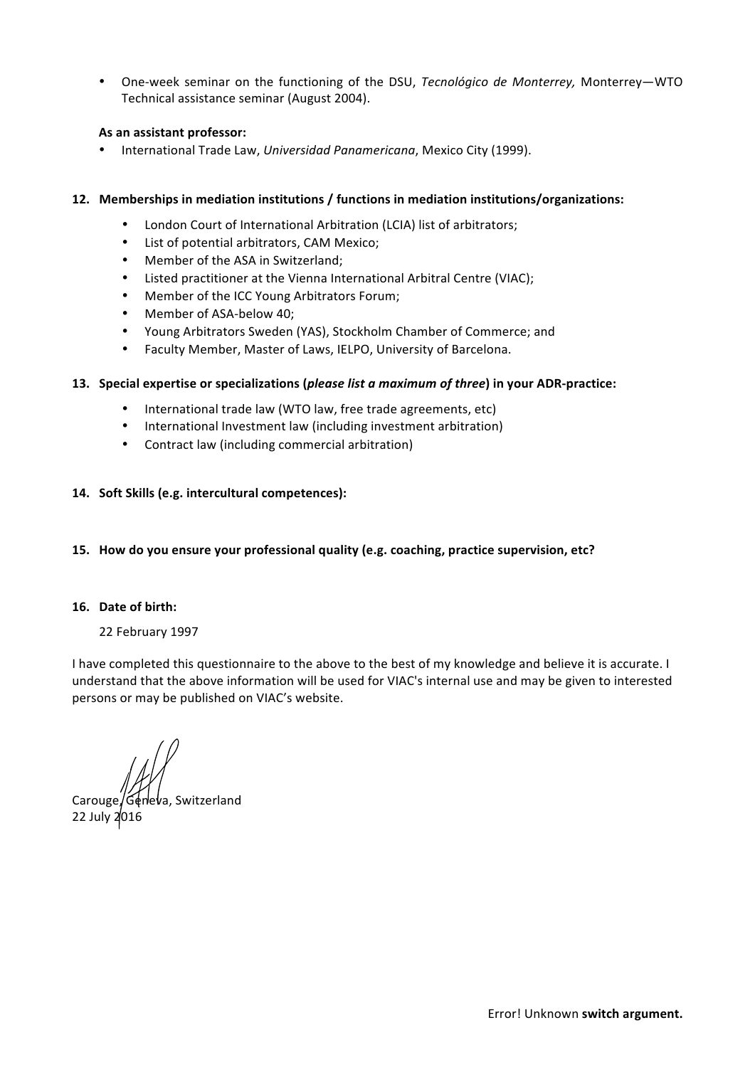One-week seminar on the functioning of the DSU, *Tecnológico de Monterrey*, Monterrey—WTO Technical assistance seminar (August 2004).

#### As an assistant professor:

• International Trade Law, Universidad Panamericana, Mexico City (1999).

#### **12. Memberships in mediation institutions / functions in mediation institutions/organizations:**

- London Court of International Arbitration (LCIA) list of arbitrators;
- List of potential arbitrators, CAM Mexico;
- Member of the ASA in Switzerland:
- Listed practitioner at the Vienna International Arbitral Centre (VIAC);
- Member of the ICC Young Arbitrators Forum;
- Member of ASA-below 40;
- Young Arbitrators Sweden (YAS), Stockholm Chamber of Commerce; and
- Faculty Member, Master of Laws, IELPO, University of Barcelona.

#### **13.** Special expertise or specializations (*please list a maximum of three*) in your ADR-practice:

- International trade law (WTO law, free trade agreements, etc)
- International Investment law (including investment arbitration)
- Contract law (including commercial arbitration)

#### 14. Soft Skills (e.g. intercultural competences):

15. How do you ensure your professional quality (e.g. coaching, practice supervision, etc?

#### **16. Date of birth:**

#### 22 February 1997

I have completed this questionnaire to the above to the best of my knowledge and believe it is accurate. I understand that the above information will be used for VIAC's internal use and may be given to interested persons or may be published on VIAC's website.

Carouge, Geneva, Switzerland 22 July 2016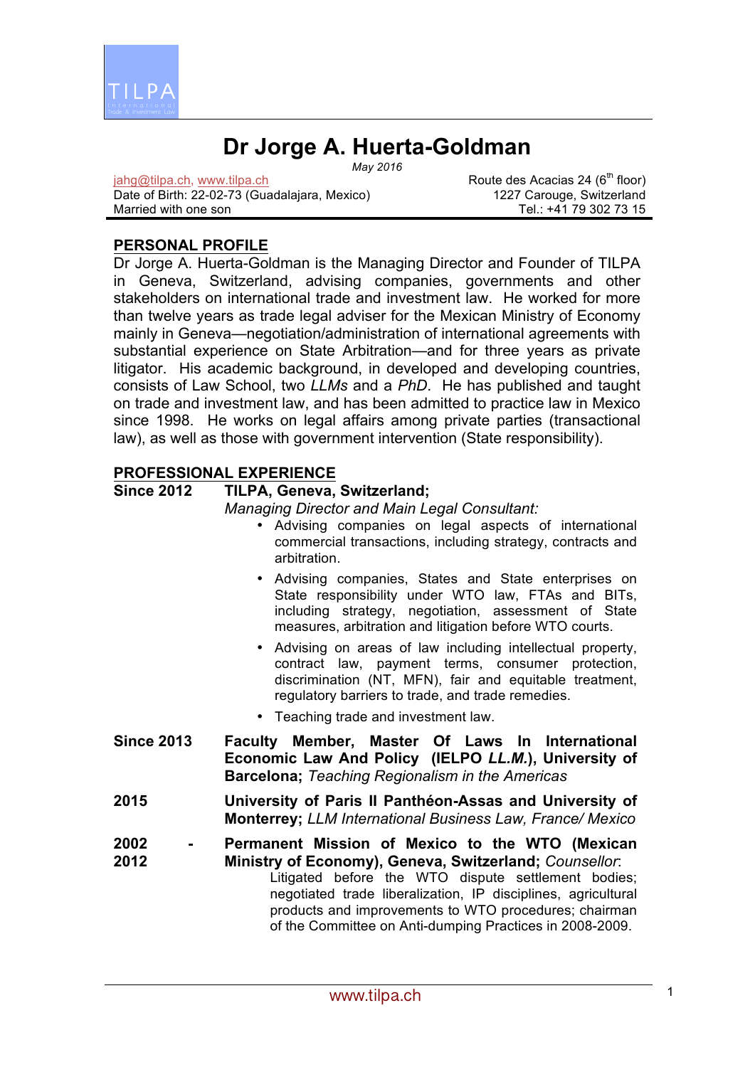

# **Dr Jorge A. Huerta-Goldman**

*May 2016*

jahg@tilpa.ch, www.tilpa.ch Date of Birth: 22-02-73 (Guadalajara, Mexico) Married with one son

Route des Acacias 24 (6<sup>th</sup> floor) 1227 Carouge, Switzerland Tel.: +41 79 302 73 15

# **PERSONAL PROFILE**

Dr Jorge A. Huerta-Goldman is the Managing Director and Founder of TILPA in Geneva, Switzerland, advising companies, governments and other stakeholders on international trade and investment law. He worked for more than twelve years as trade legal adviser for the Mexican Ministry of Economy mainly in Geneva—negotiation/administration of international agreements with substantial experience on State Arbitration—and for three years as private litigator. His academic background, in developed and developing countries, consists of Law School, two *LLMs* and a *PhD*. He has published and taught on trade and investment law, and has been admitted to practice law in Mexico since 1998. He works on legal affairs among private parties (transactional law), as well as those with government intervention (State responsibility).

# **PROFESSIONAL EXPERIENCE**

# **Since 2012 TILPA, Geneva, Switzerland;**

*Managing Director and Main Legal Consultant:*

- Advising companies on legal aspects of international commercial transactions, including strategy, contracts and arbitration.
- Advising companies, States and State enterprises on State responsibility under WTO law, FTAs and BITs, including strategy, negotiation, assessment of State measures, arbitration and litigation before WTO courts.
- Advising on areas of law including intellectual property, contract law, payment terms, consumer protection, discrimination (NT, MFN), fair and equitable treatment, regulatory barriers to trade, and trade remedies.
- Teaching trade and investment law.
- **Since 2013 Faculty Member, Master Of Laws In International Economic Law And Policy (IELPO** *LL.M.***), University of Barcelona;** *Teaching Regionalism in the Americas*
- **2015 University of Paris II Panthéon-Assas and University of Monterrey;** *LLM International Business Law, France/ Mexico*
- **2002 - 2012 Permanent Mission of Mexico to the WTO (Mexican Ministry of Economy), Geneva, Switzerland;** *Counsellor*: Litigated before the WTO dispute settlement bodies; negotiated trade liberalization, IP disciplines, agricultural products and improvements to WTO procedures; chairman of the Committee on Anti-dumping Practices in 2008-2009.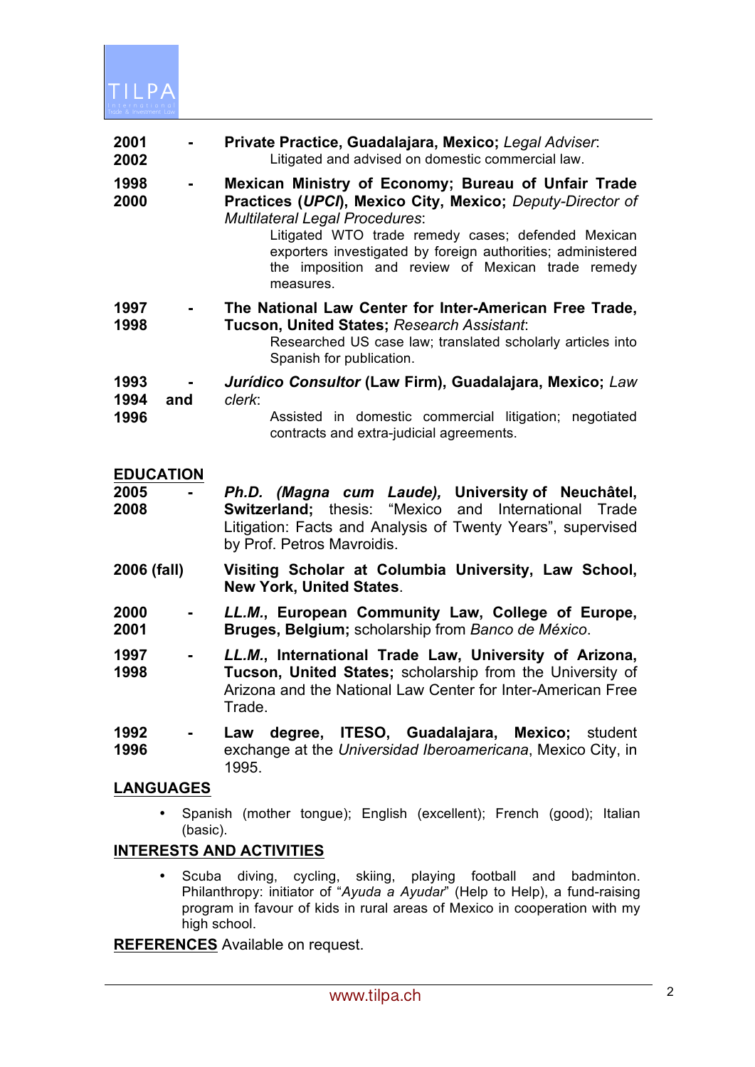

| 2001<br>2002                     | $\blacksquare$ | Private Practice, Guadalajara, Mexico; Legal Adviser.<br>Litigated and advised on domestic commercial law.                                                                                                                                                                                                                                       |
|----------------------------------|----------------|--------------------------------------------------------------------------------------------------------------------------------------------------------------------------------------------------------------------------------------------------------------------------------------------------------------------------------------------------|
| 1998<br>2000                     | $\blacksquare$ | Mexican Ministry of Economy; Bureau of Unfair Trade<br>Practices (UPCI), Mexico City, Mexico; Deputy-Director of<br><b>Multilateral Legal Procedures:</b><br>Litigated WTO trade remedy cases; defended Mexican<br>exporters investigated by foreign authorities; administered<br>the imposition and review of Mexican trade remedy<br>measures. |
| 1997<br>1998                     |                | The National Law Center for Inter-American Free Trade,<br>Tucson, United States; Research Assistant:<br>Researched US case law; translated scholarly articles into<br>Spanish for publication.                                                                                                                                                   |
| 1993<br>1994<br>and<br>1996      |                | Jurídico Consultor (Law Firm), Guadalajara, Mexico; Law<br>clerk:<br>Assisted in domestic commercial litigation; negotiated<br>contracts and extra-judicial agreements.                                                                                                                                                                          |
| <b>EDUCATION</b><br>2005<br>2008 |                | Ph.D. (Magna cum Laude), University of Neuchâtel,<br><b>Switzerland;</b> thesis: "Mexico and International<br>Trade<br>Litigation: Facts and Analysis of Twenty Years", supervised<br>by Prof. Petros Mavroidis.                                                                                                                                 |
| 2006 (fall)                      |                | Visiting Scholar at Columbia University, Law School,<br><b>New York, United States.</b>                                                                                                                                                                                                                                                          |
| 2000<br>2001                     |                | LL.M., European Community Law, College of Europe,<br>Bruges, Belgium; scholarship from Banco de México.                                                                                                                                                                                                                                          |

- **1997 - 1998** *LL.M.***, International Trade Law, University of Arizona, Tucson, United States;** scholarship from the University of Arizona and the National Law Center for Inter-American Free Trade.
- **1992 - 1996 Law degree, ITESO, Guadalajara, Mexico;** student exchange at the *Universidad Iberoamericana*, Mexico City, in 1995.

## **LANGUAGES**

• Spanish (mother tongue); English (excellent); French (good); Italian (basic).

## **INTERESTS AND ACTIVITIES**

• Scuba diving, cycling, skiing, playing football and badminton. Philanthropy: initiator of "*Ayuda a Ayudar*" (Help to Help), a fund-raising program in favour of kids in rural areas of Mexico in cooperation with my high school.

**REFERENCES** Available on request.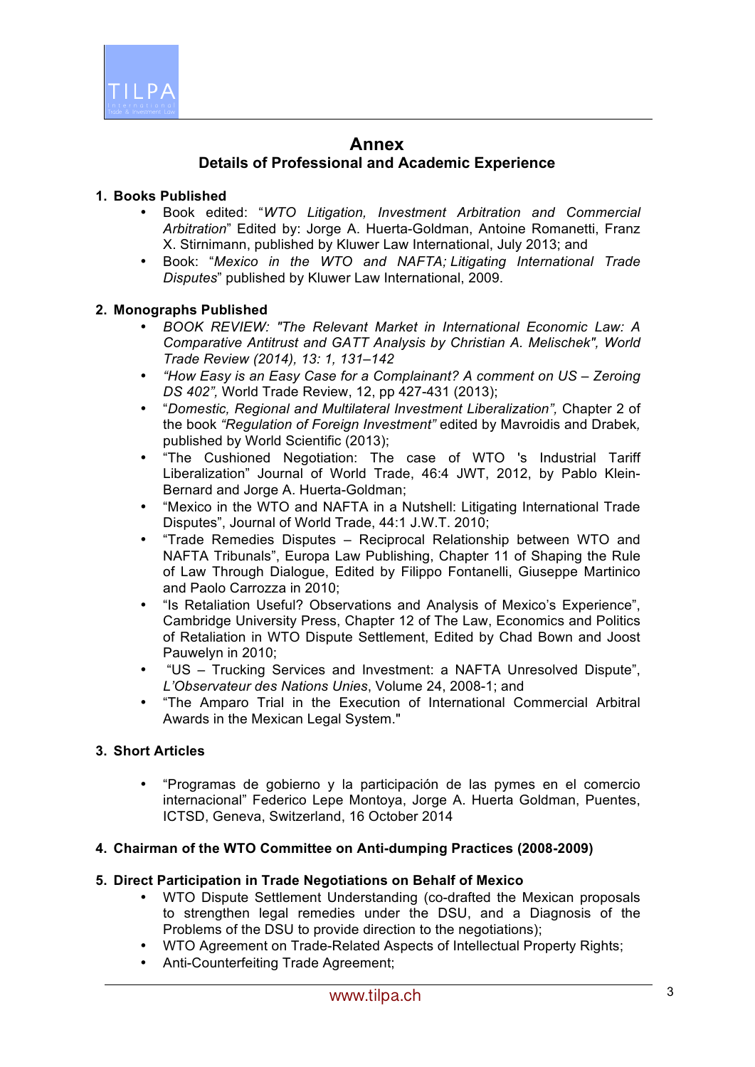

# **Annex**

# **Details of Professional and Academic Experience**

### **1. Books Published**

- Book edited: "*WTO Litigation, Investment Arbitration and Commercial Arbitration*" Edited by: Jorge A. Huerta-Goldman, Antoine Romanetti, Franz X. Stirnimann, published by Kluwer Law International, July 2013; and
- Book: "*Mexico in the WTO and NAFTA; Litigating International Trade Disputes*" published by Kluwer Law International, 2009.

#### **2. Monographs Published**

- *BOOK REVIEW: "The Relevant Market in International Economic Law: A Comparative Antitrust and GATT Analysis by Christian A. Melischek", World Trade Review (2014), 13: 1, 131–142*
- *"How Easy is an Easy Case for a Complainant? A comment on US – Zeroing DS 402",* World Trade Review, 12, pp 427-431 (2013);
- "*Domestic, Regional and Multilateral Investment Liberalization",* Chapter 2 of the book *"Regulation of Foreign Investment"* edited by Mavroidis and Drabek*,*  published by World Scientific (2013);
- "The Cushioned Negotiation: The case of WTO 's Industrial Tariff Liberalization" Journal of World Trade, 46:4 JWT, 2012, by Pablo Klein-Bernard and Jorge A. Huerta-Goldman;
- "Mexico in the WTO and NAFTA in a Nutshell: Litigating International Trade Disputes", Journal of World Trade, 44:1 J.W.T. 2010;
- "Trade Remedies Disputes Reciprocal Relationship between WTO and NAFTA Tribunals", Europa Law Publishing, Chapter 11 of Shaping the Rule of Law Through Dialogue, Edited by Filippo Fontanelli, Giuseppe Martinico and Paolo Carrozza in 2010;
- "Is Retaliation Useful? Observations and Analysis of Mexico's Experience", Cambridge University Press, Chapter 12 of The Law, Economics and Politics of Retaliation in WTO Dispute Settlement, Edited by Chad Bown and Joost Pauwelyn in 2010;
- "US Trucking Services and Investment: a NAFTA Unresolved Dispute", *L'Observateur des Nations Unies*, Volume 24, 2008-1; and
- "The Amparo Trial in the Execution of International Commercial Arbitral Awards in the Mexican Legal System."

## **3. Short Articles**

• "Programas de gobierno y la participación de las pymes en el comercio internacional" Federico Lepe Montoya, Jorge A. Huerta Goldman, Puentes, ICTSD, Geneva, Switzerland, 16 October 2014

#### **4. Chairman of the WTO Committee on Anti-dumping Practices (2008-2009)**

### **5. Direct Participation in Trade Negotiations on Behalf of Mexico**

- WTO Dispute Settlement Understanding (co-drafted the Mexican proposals to strengthen legal remedies under the DSU, and a Diagnosis of the Problems of the DSU to provide direction to the negotiations);
- WTO Agreement on Trade-Related Aspects of Intellectual Property Rights;
- Anti-Counterfeiting Trade Agreement;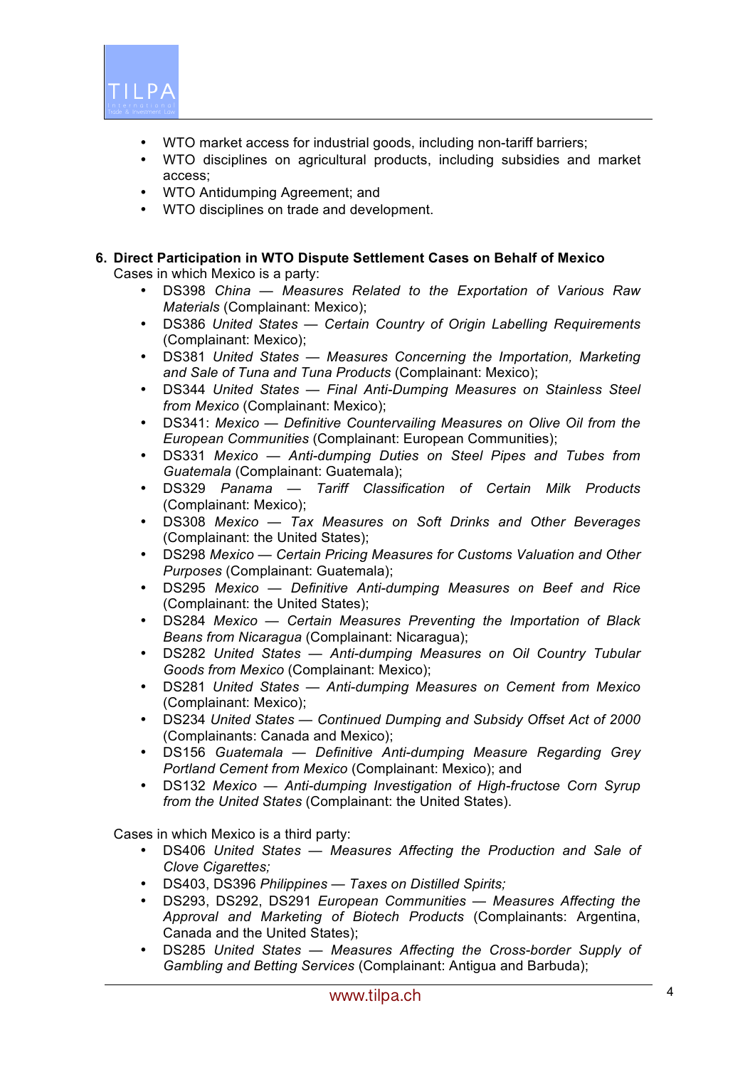

- WTO market access for industrial goods, including non-tariff barriers;
- WTO disciplines on agricultural products, including subsidies and market access;
- WTO Antidumping Agreement; and
- WTO disciplines on trade and development.

# **6. Direct Participation in WTO Dispute Settlement Cases on Behalf of Mexico**

Cases in which Mexico is a party:

- DS398 *China — Measures Related to the Exportation of Various Raw Materials* (Complainant: Mexico);
- DS386 *United States — Certain Country of Origin Labelling Requirements*  (Complainant: Mexico);
- DS381 *United States — Measures Concerning the Importation, Marketing and Sale of Tuna and Tuna Products* (Complainant: Mexico);
- DS344 *United States — Final Anti-Dumping Measures on Stainless Steel from Mexico* (Complainant: Mexico);
- DS341: *Mexico — Definitive Countervailing Measures on Olive Oil from the European Communities* (Complainant: European Communities);
- DS331 *Mexico — Anti-dumping Duties on Steel Pipes and Tubes from Guatemala* (Complainant: Guatemala);
- DS329 *Panama — Tariff Classification of Certain Milk Products* (Complainant: Mexico);
- DS308 *Mexico — Tax Measures on Soft Drinks and Other Beverages* (Complainant: the United States);
- DS298 *Mexico — Certain Pricing Measures for Customs Valuation and Other Purposes* (Complainant: Guatemala);
- DS295 *Mexico — Definitive Anti-dumping Measures on Beef and Rice*  (Complainant: the United States);
- DS284 *Mexico — Certain Measures Preventing the Importation of Black Beans from Nicaragua* (Complainant: Nicaragua);
- DS282 *United States — Anti-dumping Measures on Oil Country Tubular Goods from Mexico* (Complainant: Mexico);
- DS281 *United States — Anti-dumping Measures on Cement from Mexico* (Complainant: Mexico);
- DS234 *United States — Continued Dumping and Subsidy Offset Act of 2000* (Complainants: Canada and Mexico);
- DS156 *Guatemala — Definitive Anti-dumping Measure Regarding Grey Portland Cement from Mexico* (Complainant: Mexico); and
- DS132 *Mexico — Anti-dumping Investigation of High-fructose Corn Syrup from the United States* (Complainant: the United States).

Cases in which Mexico is a third party:

- DS406 *United States — Measures Affecting the Production and Sale of Clove Cigarettes;*
- DS403, DS396 *Philippines — Taxes on Distilled Spirits;*
- DS293, DS292, DS291 *European Communities — Measures Affecting the Approval and Marketing of Biotech Products* (Complainants: Argentina, Canada and the United States);
- DS285 *United States — Measures Affecting the Cross-border Supply of Gambling and Betting Services* (Complainant: Antigua and Barbuda);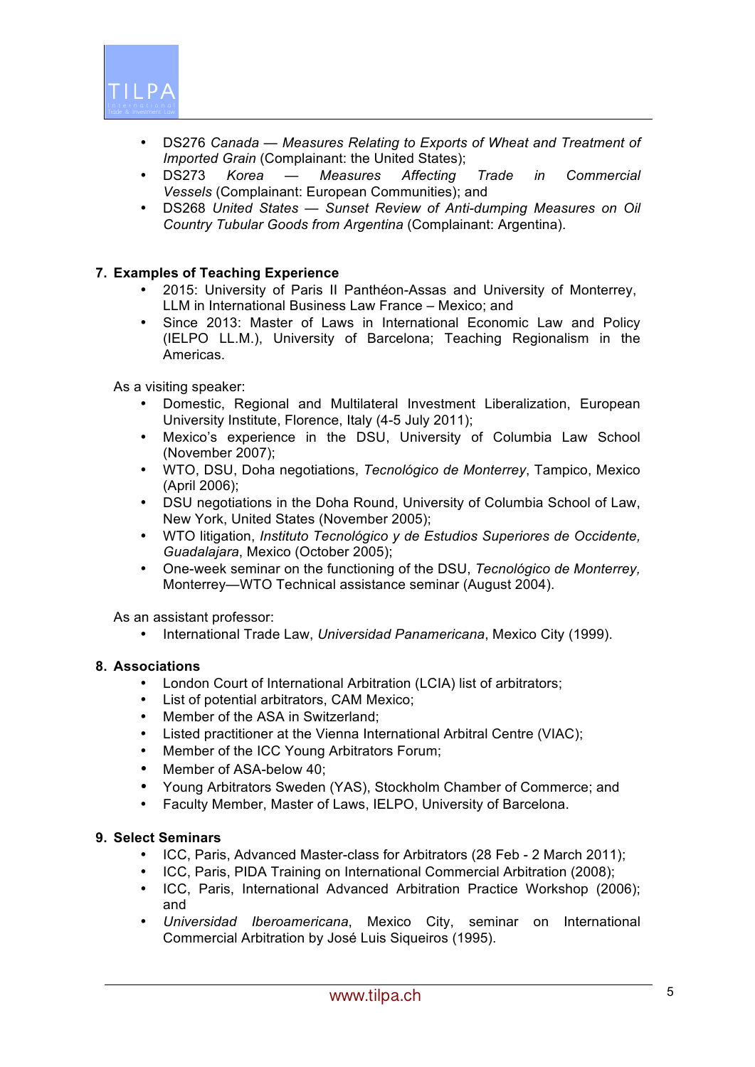

- DS276 *Canada — Measures Relating to Exports of Wheat and Treatment of Imported Grain (Complainant: the United States);*
- DS273 *Korea — Measures Affecting Trade in Commercial Vessels* (Complainant: European Communities); and
- DS268 *United States — Sunset Review of Anti-dumping Measures on Oil Country Tubular Goods from Argentina* (Complainant: Argentina).

#### **7. Examples of Teaching Experience**

- 2015: University of Paris II Panthéon-Assas and University of Monterrey, LLM in International Business Law France – Mexico; and
- Since 2013: Master of Laws in International Economic Law and Policy (IELPO LL.M.), University of Barcelona; Teaching Regionalism in the Americas.

As a visiting speaker:

- Domestic, Regional and Multilateral Investment Liberalization, European University Institute, Florence, Italy (4-5 July 2011);
- Mexico's experience in the DSU, University of Columbia Law School (November 2007);
- WTO, DSU, Doha negotiations, *Tecnológico de Monterrey*, Tampico, Mexico (April 2006);
- DSU negotiations in the Doha Round, University of Columbia School of Law, New York, United States (November 2005);
- WTO litigation, *Instituto Tecnológico y de Estudios Superiores de Occidente, Guadalajara*, Mexico (October 2005);
- One-week seminar on the functioning of the DSU, *Tecnológico de Monterrey,* Monterrey—WTO Technical assistance seminar (August 2004).

As an assistant professor:

• International Trade Law, *Universidad Panamericana*, Mexico City (1999).

#### **8. Associations**

- London Court of International Arbitration (LCIA) list of arbitrators;<br>• I ist of notential arbitrators. CAM Mexico:
- List of potential arbitrators, CAM Mexico;
- Member of the ASA in Switzerland:
- Listed practitioner at the Vienna International Arbitral Centre (VIAC);
- Member of the ICC Young Arbitrators Forum;
- Member of ASA-below 40;
- Young Arbitrators Sweden (YAS), Stockholm Chamber of Commerce; and
- Faculty Member, Master of Laws, IELPO, University of Barcelona.

#### **9. Select Seminars**

- ICC, Paris, Advanced Master-class for Arbitrators (28 Feb 2 March 2011);
- ICC, Paris, PIDA Training on International Commercial Arbitration (2008);
- ICC, Paris, International Advanced Arbitration Practice Workshop (2006); and
- *Universidad Iberoamericana*, Mexico City, seminar on International Commercial Arbitration by José Luis Siqueiros (1995).